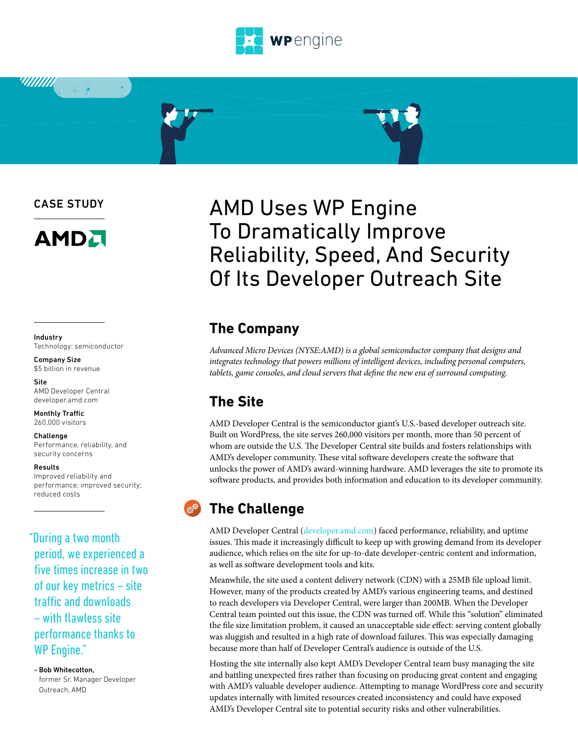

CASE STUDY

**WIIIII** 



#### Industry Technology: semiconductor

Company Size \$5 billion in revenue

Site AMD Developer Central developer.amd.com

Monthly Traffic 260,000 visitors

#### Challenge

Performance, reliability, and security concerns

#### Results

Improved reliability and performance; improved security; reduced costs

#### "During a two month period, we experienced a five times increase in two of our key metrics – site traffic and downloads – with flawless site performance thanks to WP Engine."

- Bob Whitecotton, former Sr. Manager Developer Outreach, AMD

# AMD Uses WP Engine To Dramatically Improve Reliability, Speed, And Security Of Its Developer Outreach Site

#### **The Company**

*Advanced Micro Devices (NYSE:AMD) is a global semiconductor company that designs and integrates technology that powers millions of intelligent devices, including personal computers, tablets, game consoles, and cloud servers that define the new era of surround computing.*

# **The Site**

AMD Developer Central is the semiconductor giant's U.S.-based developer outreach site. Built on WordPress, the site serves 260,000 visitors per month, more than 50 percent of whom are outside the U.S. The Developer Central site builds and fosters relationships with AMD's developer community. These vital software developers create the software that unlocks the power of AMD's award-winning hardware. AMD leverages the site to promote its software products, and provides both information and education to its developer community.

### **The Challenge**

AMD Developer Central ([developer.amd.com\)](http://developer.amd.com) faced performance, reliability, and uptime issues. This made it increasingly difficult to keep up with growing demand from its developer audience, which relies on the site for up-to-date developer-centric content and information, as well as software development tools and kits.

Meanwhile, the site used a content delivery network (CDN) with a 25MB file upload limit. However, many of the products created by AMD's various engineering teams, and destined to reach developers via Developer Central, were larger than 200MB. When the Developer Central team pointed out this issue, the CDN was turned off. While this "solution" eliminated the file size limitation problem, it caused an unacceptable side effect: serving content globally was sluggish and resulted in a high rate of download failures. This was especially damaging because more than half of Developer Central's audience is outside of the U.S.

Hosting the site internally also kept AMD's Developer Central team busy managing the site and battling unexpected fires rather than focusing on producing great content and engaging with AMD's valuable developer audience. Attempting to manage WordPress core and security updates internally with limited resources created inconsistency and could have exposed AMD's Developer Central site to potential security risks and other vulnerabilities.